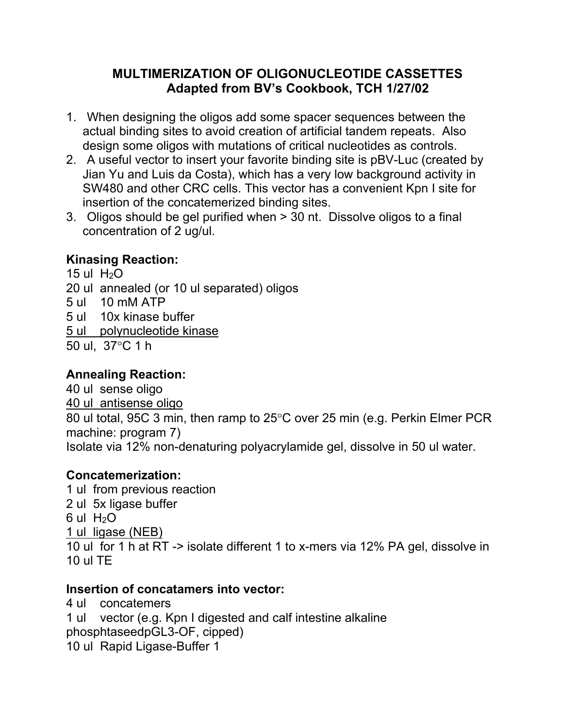# **MULTIMERIZATION OF OLIGONUCLEOTIDE CASSETTES Adapted from BV's Cookbook, TCH 1/27/02**

- 1. When designing the oligos add some spacer sequences between the actual binding sites to avoid creation of artificial tandem repeats. Also design some oligos with mutations of critical nucleotides as controls.
- 2. A useful vector to insert your favorite binding site is pBV-Luc (created by Jian Yu and Luis da Costa), which has a very low background activity in SW480 and other CRC cells. This vector has a convenient Kpn I site for insertion of the concatemerized binding sites.
- 3. Oligos should be gel purified when > 30 nt. Dissolve oligos to a final concentration of 2 ug/ul.

# **Kinasing Reaction:**

15 ul  $H<sub>2</sub>O$ 20 ul annealed (or 10 ul separated) oligos 5 ul 10 mM ATP 5 ul 10x kinase buffer 5 ul polynucleotide kinase 50 ul.  $37^{\circ}$ C 1 h

### **Annealing Reaction:**

40 ul sense oligo 40 ul antisense oligo 80 ul total, 95C 3 min, then ramp to 25°C over 25 min (e.g. Perkin Elmer PCR machine: program 7) Isolate via 12% non-denaturing polyacrylamide gel, dissolve in 50 ul water.

### **Concatemerization:**

1 ul from previous reaction 2 ul 5x ligase buffer 6 ul  $H_2O$ 1 ul ligase (NEB) 10 ul for 1 h at RT -> isolate different 1 to x-mers via 12% PA gel, dissolve in 10 ul TE

### **Insertion of concatamers into vector:**

4 ul concatemers 1 ul vector (e.g. Kpn I digested and calf intestine alkaline phosphtaseedpGL3-OF, cipped) 10 ul Rapid Ligase-Buffer 1